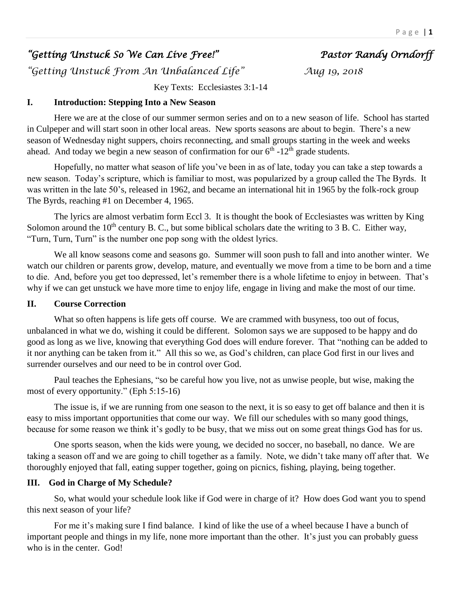# *"Getting Unstuck So We Can Live Free!" Pastor Randy Orndorff*

*"Getting Unstuck From An Unbalanced Life" Aug 19, 2018* 

Key Texts: Ecclesiastes 3:1-14

## **I. Introduction: Stepping Into a New Season**

Here we are at the close of our summer sermon series and on to a new season of life. School has started in Culpeper and will start soon in other local areas. New sports seasons are about to begin. There's a new season of Wednesday night suppers, choirs reconnecting, and small groups starting in the week and weeks ahead. And today we begin a new season of confirmation for our  $6<sup>th</sup>$ -12<sup>th</sup> grade students.

Hopefully, no matter what season of life you've been in as of late, today you can take a step towards a new season. Today's scripture, which is familiar to most, was popularized by a group called the The Byrds. It was written in the late 50's, released in 1962, and became an international hit in 1965 by the folk-rock group The Byrds, reaching #1 on December 4, 1965.

The lyrics are almost verbatim form Eccl 3. It is thought the book of Ecclesiastes was written by King Solomon around the  $10<sup>th</sup>$  century B. C., but some biblical scholars date the writing to 3 B. C. Either way, "Turn, Turn, Turn" is the number one pop song with the oldest lyrics.

We all know seasons come and seasons go. Summer will soon push to fall and into another winter. We watch our children or parents grow, develop, mature, and eventually we move from a time to be born and a time to die. And, before you get too depressed, let's remember there is a whole lifetime to enjoy in between. That's why if we can get unstuck we have more time to enjoy life, engage in living and make the most of our time.

## **II. Course Correction**

What so often happens is life gets off course. We are crammed with busyness, too out of focus, unbalanced in what we do, wishing it could be different. Solomon says we are supposed to be happy and do good as long as we live, knowing that everything God does will endure forever. That "nothing can be added to it nor anything can be taken from it." All this so we, as God's children, can place God first in our lives and surrender ourselves and our need to be in control over God.

Paul teaches the Ephesians, "so be careful how you live, not as unwise people, but wise, making the most of every opportunity." (Eph 5:15-16)

The issue is, if we are running from one season to the next, it is so easy to get off balance and then it is easy to miss important opportunities that come our way. We fill our schedules with so many good things, because for some reason we think it's godly to be busy, that we miss out on some great things God has for us.

One sports season, when the kids were young, we decided no soccer, no baseball, no dance. We are taking a season off and we are going to chill together as a family. Note, we didn't take many off after that. We thoroughly enjoyed that fall, eating supper together, going on picnics, fishing, playing, being together.

# **III. God in Charge of My Schedule?**

So, what would your schedule look like if God were in charge of it? How does God want you to spend this next season of your life?

For me it's making sure I find balance. I kind of like the use of a wheel because I have a bunch of important people and things in my life, none more important than the other. It's just you can probably guess who is in the center. God!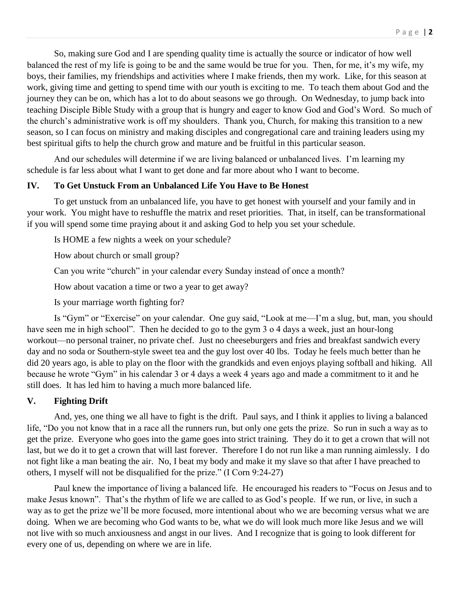So, making sure God and I are spending quality time is actually the source or indicator of how well balanced the rest of my life is going to be and the same would be true for you. Then, for me, it's my wife, my boys, their families, my friendships and activities where I make friends, then my work. Like, for this season at work, giving time and getting to spend time with our youth is exciting to me. To teach them about God and the journey they can be on, which has a lot to do about seasons we go through. On Wednesday, to jump back into teaching Disciple Bible Study with a group that is hungry and eager to know God and God's Word. So much of the church's administrative work is off my shoulders. Thank you, Church, for making this transition to a new season, so I can focus on ministry and making disciples and congregational care and training leaders using my best spiritual gifts to help the church grow and mature and be fruitful in this particular season.

And our schedules will determine if we are living balanced or unbalanced lives. I'm learning my schedule is far less about what I want to get done and far more about who I want to become.

#### **IV. To Get Unstuck From an Unbalanced Life You Have to Be Honest**

To get unstuck from an unbalanced life, you have to get honest with yourself and your family and in your work. You might have to reshuffle the matrix and reset priorities. That, in itself, can be transformational if you will spend some time praying about it and asking God to help you set your schedule.

Is HOME a few nights a week on your schedule?

How about church or small group?

Can you write "church" in your calendar every Sunday instead of once a month?

How about vacation a time or two a year to get away?

Is your marriage worth fighting for?

Is "Gym" or "Exercise" on your calendar. One guy said, "Look at me—I'm a slug, but, man, you should have seen me in high school". Then he decided to go to the gym 3 o 4 days a week, just an hour-long workout—no personal trainer, no private chef. Just no cheeseburgers and fries and breakfast sandwich every day and no soda or Southern-style sweet tea and the guy lost over 40 lbs. Today he feels much better than he did 20 years ago, is able to play on the floor with the grandkids and even enjoys playing softball and hiking. All because he wrote "Gym" in his calendar 3 or 4 days a week 4 years ago and made a commitment to it and he still does. It has led him to having a much more balanced life.

## **V. Fighting Drift**

And, yes, one thing we all have to fight is the drift. Paul says, and I think it applies to living a balanced life, "Do you not know that in a race all the runners run, but only one gets the prize. So run in such a way as to get the prize. Everyone who goes into the game goes into strict training. They do it to get a crown that will not last, but we do it to get a crown that will last forever. Therefore I do not run like a man running aimlessly. I do not fight like a man beating the air. No, I beat my body and make it my slave so that after I have preached to others, I myself will not be disqualified for the prize." (I Corn 9:24-27)

Paul knew the importance of living a balanced life. He encouraged his readers to "Focus on Jesus and to make Jesus known". That's the rhythm of life we are called to as God's people. If we run, or live, in such a way as to get the prize we'll be more focused, more intentional about who we are becoming versus what we are doing. When we are becoming who God wants to be, what we do will look much more like Jesus and we will not live with so much anxiousness and angst in our lives. And I recognize that is going to look different for every one of us, depending on where we are in life.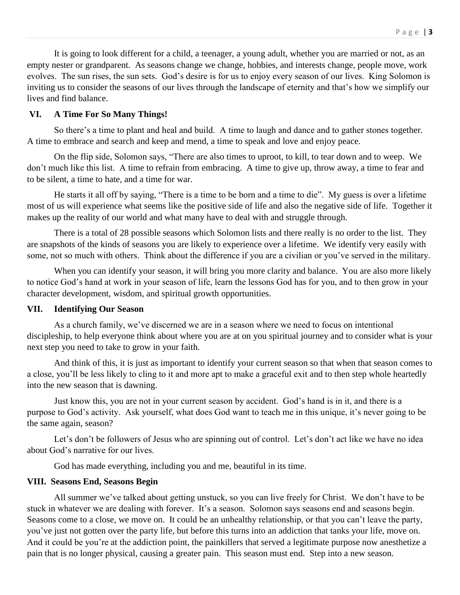It is going to look different for a child, a teenager, a young adult, whether you are married or not, as an empty nester or grandparent. As seasons change we change, hobbies, and interests change, people move, work evolves. The sun rises, the sun sets. God's desire is for us to enjoy every season of our lives. King Solomon is inviting us to consider the seasons of our lives through the landscape of eternity and that's how we simplify our lives and find balance.

### **VI. A Time For So Many Things!**

So there's a time to plant and heal and build. A time to laugh and dance and to gather stones together. A time to embrace and search and keep and mend, a time to speak and love and enjoy peace.

On the flip side, Solomon says, "There are also times to uproot, to kill, to tear down and to weep. We don't much like this list. A time to refrain from embracing. A time to give up, throw away, a time to fear and to be silent, a time to hate, and a time for war.

He starts it all off by saying, "There is a time to be born and a time to die". My guess is over a lifetime most of us will experience what seems like the positive side of life and also the negative side of life. Together it makes up the reality of our world and what many have to deal with and struggle through.

There is a total of 28 possible seasons which Solomon lists and there really is no order to the list. They are snapshots of the kinds of seasons you are likely to experience over a lifetime. We identify very easily with some, not so much with others. Think about the difference if you are a civilian or you've served in the military.

When you can identify your season, it will bring you more clarity and balance. You are also more likely to notice God's hand at work in your season of life, learn the lessons God has for you, and to then grow in your character development, wisdom, and spiritual growth opportunities.

#### **VII. Identifying Our Season**

As a church family, we've discerned we are in a season where we need to focus on intentional discipleship, to help everyone think about where you are at on you spiritual journey and to consider what is your next step you need to take to grow in your faith.

And think of this, it is just as important to identify your current season so that when that season comes to a close, you'll be less likely to cling to it and more apt to make a graceful exit and to then step whole heartedly into the new season that is dawning.

Just know this, you are not in your current season by accident. God's hand is in it, and there is a purpose to God's activity. Ask yourself, what does God want to teach me in this unique, it's never going to be the same again, season?

Let's don't be followers of Jesus who are spinning out of control. Let's don't act like we have no idea about God's narrative for our lives.

God has made everything, including you and me, beautiful in its time.

## **VIII. Seasons End, Seasons Begin**

All summer we've talked about getting unstuck, so you can live freely for Christ. We don't have to be stuck in whatever we are dealing with forever. It's a season. Solomon says seasons end and seasons begin. Seasons come to a close, we move on. It could be an unhealthy relationship, or that you can't leave the party, you've just not gotten over the party life, but before this turns into an addiction that tanks your life, move on. And it could be you're at the addiction point, the painkillers that served a legitimate purpose now anesthetize a pain that is no longer physical, causing a greater pain. This season must end. Step into a new season.